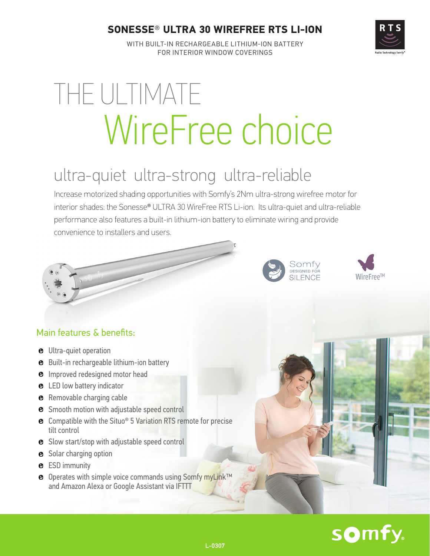#### **SONESSE***®* **ULTRA 30 WIREFREE RTS LI-ION**



WITH BUILT-IN RECHARGEABLE LITHIUM-ION BATTERY FOR INTERIOR WINDOW COVERINGS

# THE ULTIMATE WireFree choice

## ultra-quiet ultra-strong ultra-reliable

Increase motorized shading opportunities with Somfy's 2Nm ultra-strong wirefree motor for interior shades: the Sonesse® ULTRA 30 WireFree RTS Li-ion. Its ultra-quiet and ultra-reliable performance also features a built-in lithium-ion battery to eliminate wiring and provide convenience to installers and users.





#### Main features & benefits:

- $\Theta$  Ultra-quiet operation
- **Built-in rechargeable lithium-ion battery**
- $\bullet$  Improved redesigned motor head
- **e** LED low battery indicator
- **e** Removable charging cable
- **e** Smooth motion with adjustable speed control
- **e** Compatible with the Situo® 5 Variation RTS remote for precise tilt control
- **e** Slow start/stop with adjustable speed control
- **8** Solar charging option
- **e** ESD immunity
- <sup>o</sup> Operates with simple voice commands using Somfy myLink™ and Amazon Alexa or Google Assistant via IFTTT

# somfy.